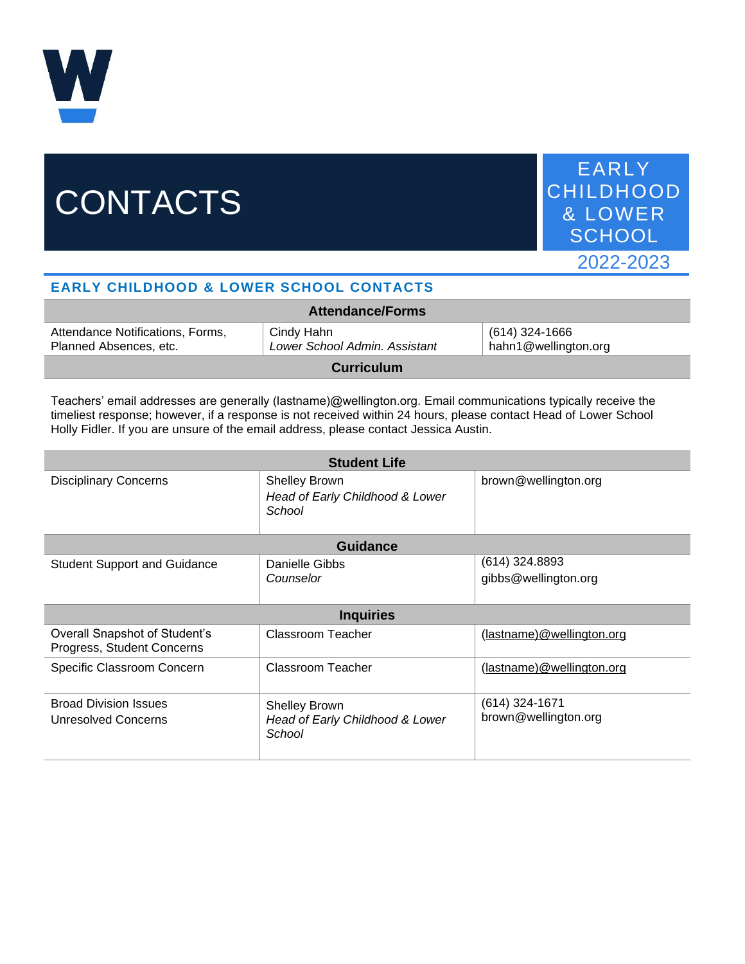

## **CONTACTS**

EARLY CHILDHOOD & LOWER **SCHOOL** 2022-2023

## **EARLY CHILDHOOD & LOWER SCHOOL CONTACTS**

| <b>Attendance/Forms</b>                                    |                                             |                                        |  |
|------------------------------------------------------------|---------------------------------------------|----------------------------------------|--|
| Attendance Notifications, Forms,<br>Planned Absences, etc. | Cindy Hahn<br>Lower School Admin. Assistant | (614) 324-1666<br>hahn1@wellington.org |  |
|                                                            |                                             |                                        |  |

**Curriculum**

Teachers' email addresses are generally (lastname)@wellington.org. Email communications typically receive the timeliest response; however, if a response is not received within 24 hours, please contact Head of Lower School Holly Fidler. If you are unsure of the email address, please contact Jessica Austin.

| <b>Student Life</b>                                         |                                                                   |                                          |  |  |
|-------------------------------------------------------------|-------------------------------------------------------------------|------------------------------------------|--|--|
| <b>Disciplinary Concerns</b>                                | <b>Shelley Brown</b><br>Head of Early Childhood & Lower<br>School | brown@wellington.org                     |  |  |
| <b>Guidance</b>                                             |                                                                   |                                          |  |  |
| <b>Student Support and Guidance</b>                         | Danielle Gibbs<br>Counselor                                       | $(614)$ 324.8893<br>gibbs@wellington.org |  |  |
| <b>Inquiries</b>                                            |                                                                   |                                          |  |  |
| Overall Snapshot of Student's<br>Progress, Student Concerns | Classroom Teacher                                                 | (lastname)@wellington.org                |  |  |
| Specific Classroom Concern                                  | Classroom Teacher                                                 | (lastname)@wellington.org                |  |  |
| <b>Broad Division Issues</b><br>Unresolved Concerns         | <b>Shelley Brown</b><br>Head of Early Childhood & Lower<br>School | $(614)$ 324-1671<br>brown@wellington.org |  |  |